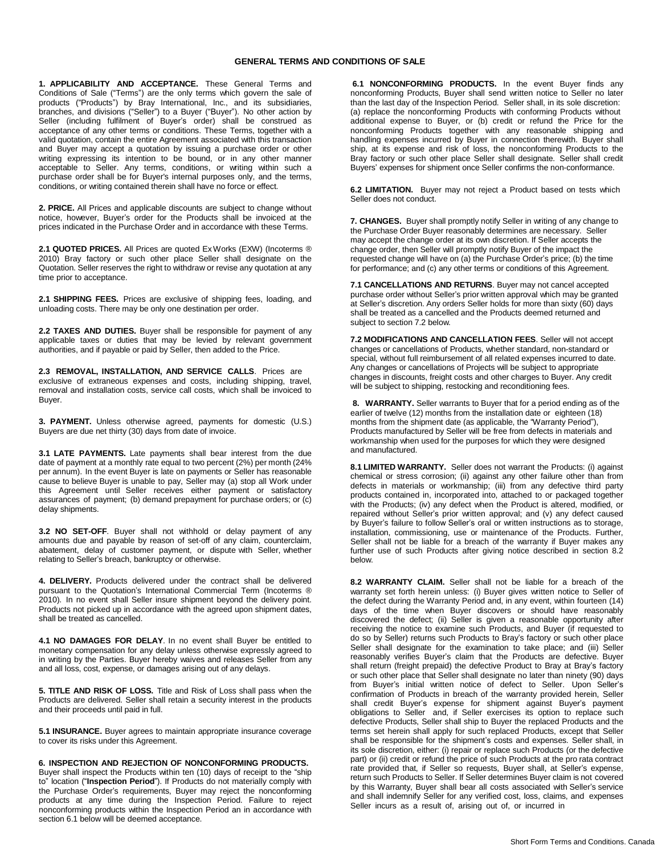## **GENERAL TERMS AND CONDITIONS OF SALE**

**1. APPLICABILITY AND ACCEPTANCE.** These General Terms and Conditions of Sale ("Terms") are the only terms which govern the sale of products ("Products") by Bray International, Inc., and its subsidiaries, branches, and divisions ("Seller") to a Buyer ("Buyer"). No other action by Seller (including fulfilment of Buyer's order) shall be construed as acceptance of any other terms or conditions. These Terms, together with a valid quotation, contain the entire Agreement associated with this transaction and Buyer may accept a quotation by issuing a purchase order or other writing expressing its intention to be bound, or in any other manner acceptable to Seller. Any terms, conditions, or writing within such a purchase order shall be for Buyer's internal purposes only, and the terms, conditions, or writing contained therein shall have no force or effect.

**2. PRICE.** All Prices and applicable discounts are subject to change without notice, however, Buyer's order for the Products shall be invoiced at the prices indicated in the Purchase Order and in accordance with these Terms.

**2.1 QUOTED PRICES.** All Prices are quoted Ex Works (EXW) (Incoterms ® 2010) Bray factory or such other place Seller shall designate on the Quotation. Seller reserves the right to withdraw or revise any quotation at any time prior to acceptance.

**2.1 SHIPPING FEES.** Prices are exclusive of shipping fees, loading, and unloading costs. There may be only one destination per order.

**2.2 TAXES AND DUTIES.** Buyer shall be responsible for payment of any applicable taxes or duties that may be levied by relevant government authorities, and if payable or paid by Seller, then added to the Price.

**2.3 REMOVAL, INSTALLATION, AND SERVICE CALLS**. Prices are exclusive of extraneous expenses and costs, including shipping, travel, removal and installation costs, service call costs, which shall be invoiced to Buyer.

**3. PAYMENT.** Unless otherwise agreed, payments for domestic (U.S.) Buyers are due net thirty (30) days from date of invoice.

**3.1 LATE PAYMENTS.** Late payments shall bear interest from the due date of payment at a monthly rate equal to two percent (2%) per month (24% per annum). In the event Buyer is late on payments or Seller has reasonable cause to believe Buyer is unable to pay, Seller may (a) stop all Work under this Agreement until Seller receives either payment or satisfactory assurances of payment; (b) demand prepayment for purchase orders; or (c) delay shipments.

**3.2 NO SET-OFF**. Buyer shall not withhold or delay payment of any amounts due and payable by reason of set-off of any claim, counterclaim, abatement, delay of customer payment, or dispute with Seller, whether relating to Seller's breach, bankruptcy or otherwise.

**4. DELIVERY.** Products delivered under the contract shall be delivered pursuant to the Quotation's International Commercial Term (Incoterms ® 2010). In no event shall Seller insure shipment beyond the delivery point. Products not picked up in accordance with the agreed upon shipment dates, shall be treated as cancelled.

**4.1 NO DAMAGES FOR DELAY**. In no event shall Buyer be entitled to monetary compensation for any delay unless otherwise expressly agreed to in writing by the Parties. Buyer hereby waives and releases Seller from any and all loss, cost, expense, or damages arising out of any delays.

**5. TITLE AND RISK OF LOSS.** Title and Risk of Loss shall pass when the Products are delivered. Seller shall retain a security interest in the products and their proceeds until paid in full.

**5.1 INSURANCE.** Buyer agrees to maintain appropriate insurance coverage to cover its risks under this Agreement.

**6. INSPECTION AND REJECTION OF NONCONFORMING PRODUCTS.** Buyer shall inspect the Products within ten (10) days of receipt to the "ship to" location ("**Inspection Period**"). If Products do not materially comply with the Purchase Order's requirements, Buyer may reject the nonconforming products at any time during the Inspection Period. Failure to reject nonconforming products within the Inspection Period an in accordance with section 6.1 below will be deemed acceptance.

**6.1 NONCONFORMING PRODUCTS.** In the event Buyer finds any nonconforming Products, Buyer shall send written notice to Seller no later than the last day of the Inspection Period. Seller shall, in its sole discretion: (a) replace the nonconforming Products with conforming Products without additional expense to Buyer, or (b) credit or refund the Price for the nonconforming Products together with any reasonable shipping and handling expenses incurred by Buyer in connection therewith. Buyer shall ship, at its expense and risk of loss, the nonconforming Products to the Bray factory or such other place Seller shall designate. Seller shall credit Buyers' expenses for shipment once Seller confirms the non-conformance.

**6.2 LIMITATION.** Buyer may not reject a Product based on tests which Seller does not conduct.

**7. CHANGES.** Buyer shall promptly notify Seller in writing of any change to the Purchase Order Buyer reasonably determines are necessary. Seller may accept the change order at its own discretion. If Seller accepts the change order, then Seller will promptly notify Buyer of the impact the requested change will have on (a) the Purchase Order's price; (b) the time for performance; and (c) any other terms or conditions of this Agreement.

**7.1 CANCELLATIONS AND RETURNS**. Buyer may not cancel accepted purchase order without Seller's prior written approval which may be granted at Seller's discretion. Any orders Seller holds for more than sixty (60) days shall be treated as a cancelled and the Products deemed returned and subject to section 7.2 below.

**7.2 MODIFICATIONS AND CANCELLATION FEES**. Seller will not accept changes or cancellations of Products, whether standard, non-standard or special, without full reimbursement of all related expenses incurred to date. Any changes or cancellations of Projects will be subject to appropriate changes in discounts, freight costs and other charges to Buyer. Any credit will be subject to shipping, restocking and reconditioning fees.

**8. WARRANTY.** Seller warrants to Buyer that for a period ending as of the earlier of twelve (12) months from the installation date or eighteen (18) months from the shipment date (as applicable, the "Warranty Period"), Products manufactured by Seller will be free from defects in materials and workmanship when used for the purposes for which they were designed and manufactured.

**8.1 LIMITED WARRANTY.** Seller does not warrant the Products: (i) against chemical or stress corrosion; (ii) against any other failure other than from defects in materials or workmanship; (iii) from any defective third party products contained in, incorporated into, attached to or packaged together with the Products; (iv) any defect when the Product is altered, modified, or repaired without Seller's prior written approval; and (v) any defect caused by Buyer's failure to follow Seller's oral or written instructions as to storage, installation, commissioning, use or maintenance of the Products. Further, Seller shall not be liable for a breach of the warranty if Buyer makes any further use of such Products after giving notice described in section 8.2 below.

**8.2 WARRANTY CLAIM.** Seller shall not be liable for a breach of the warranty set forth herein unless: (i) Buyer gives written notice to Seller of the defect during the Warranty Period and, in any event, within fourteen (14) days of the time when Buyer discovers or should have reasonably discovered the defect; (ii) Seller is given a reasonable opportunity after receiving the notice to examine such Products, and Buyer (if requested to do so by Seller) returns such Products to Bray's factory or such other place Seller shall designate for the examination to take place; and (iii) Seller reasonably verifies Buyer's claim that the Products are defective. Buyer shall return (freight prepaid) the defective Product to Bray at Bray's factory or such other place that Seller shall designate no later than ninety (90) days from Buyer's initial written notice of defect to Seller. Upon Seller's confirmation of Products in breach of the warranty provided herein, Seller shall credit Buyer's expense for shipment against Buyer's payment obligations to Seller and, if Seller exercises its option to replace such defective Products, Seller shall ship to Buyer the replaced Products and the terms set herein shall apply for such replaced Products, except that Seller shall be responsible for the shipment's costs and expenses. Seller shall, in its sole discretion, either: (i) repair or replace such Products (or the defective part) or (ii) credit or refund the price of such Products at the pro rata contract rate provided that, if Seller so requests, Buyer shall, at Seller's expense, return such Products to Seller. If Seller determines Buyer claim is not covered by this Warranty, Buyer shall bear all costs associated with Seller's service and shall indemnify Seller for any verified cost, loss, claims, and expenses Seller incurs as a result of, arising out of, or incurred in